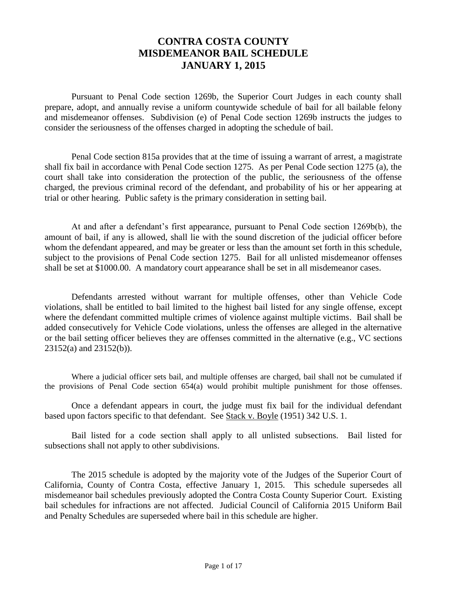### **CONTRA COSTA COUNTY MISDEMEANOR BAIL SCHEDULE JANUARY 1, 2015**

Pursuant to Penal Code section 1269b, the Superior Court Judges in each county shall prepare, adopt, and annually revise a uniform countywide schedule of bail for all bailable felony and misdemeanor offenses. Subdivision (e) of Penal Code section 1269b instructs the judges to consider the seriousness of the offenses charged in adopting the schedule of bail.

Penal Code section 815a provides that at the time of issuing a warrant of arrest, a magistrate shall fix bail in accordance with Penal Code section 1275. As per Penal Code section 1275 (a), the court shall take into consideration the protection of the public, the seriousness of the offense charged, the previous criminal record of the defendant, and probability of his or her appearing at trial or other hearing. Public safety is the primary consideration in setting bail.

At and after a defendant's first appearance, pursuant to Penal Code section 1269b(b), the amount of bail, if any is allowed, shall lie with the sound discretion of the judicial officer before whom the defendant appeared, and may be greater or less than the amount set forth in this schedule, subject to the provisions of Penal Code section 1275. Bail for all unlisted misdemeanor offenses shall be set at \$1000.00. A mandatory court appearance shall be set in all misdemeanor cases.

Defendants arrested without warrant for multiple offenses, other than Vehicle Code violations, shall be entitled to bail limited to the highest bail listed for any single offense, except where the defendant committed multiple crimes of violence against multiple victims. Bail shall be added consecutively for Vehicle Code violations, unless the offenses are alleged in the alternative or the bail setting officer believes they are offenses committed in the alternative (e.g., VC sections 23152(a) and 23152(b)).

Where a judicial officer sets bail, and multiple offenses are charged, bail shall not be cumulated if the provisions of Penal Code section 654(a) would prohibit multiple punishment for those offenses.

Once a defendant appears in court, the judge must fix bail for the individual defendant based upon factors specific to that defendant. See Stack v. Boyle (1951) 342 U.S. 1.

Bail listed for a code section shall apply to all unlisted subsections. Bail listed for subsections shall not apply to other subdivisions.

The 2015 schedule is adopted by the majority vote of the Judges of the Superior Court of California, County of Contra Costa, effective January 1, 2015. This schedule supersedes all misdemeanor bail schedules previously adopted the Contra Costa County Superior Court. Existing bail schedules for infractions are not affected. Judicial Council of California 2015 Uniform Bail and Penalty Schedules are superseded where bail in this schedule are higher.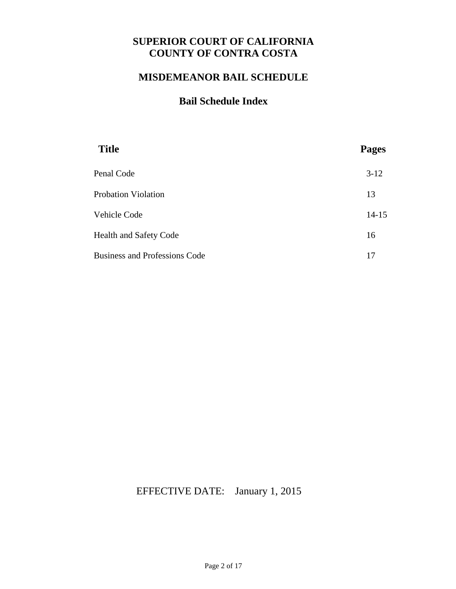# **SUPERIOR COURT OF CALIFORNIA COUNTY OF CONTRA COSTA**

### **MISDEMEANOR BAIL SCHEDULE**

# **Bail Schedule Index**

| <b>Title</b>                         | <b>Pages</b> |
|--------------------------------------|--------------|
| Penal Code                           | $3-12$       |
| <b>Probation Violation</b>           | 13           |
| Vehicle Code                         | $14 - 15$    |
| <b>Health and Safety Code</b>        | 16           |
| <b>Business and Professions Code</b> | 17           |

# EFFECTIVE DATE: January 1, 2015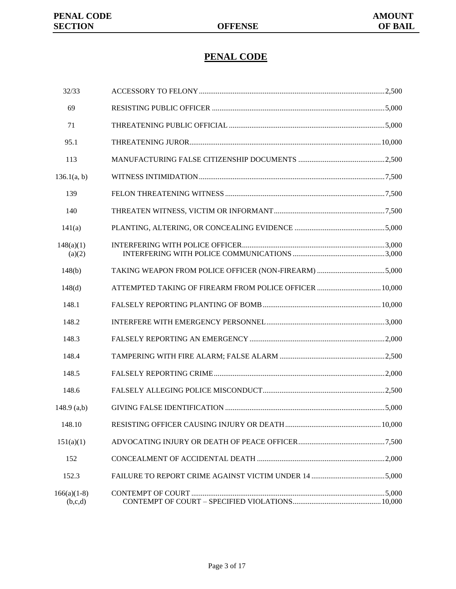# **PENAL CODE**

| 32/33                    |                                                         |  |
|--------------------------|---------------------------------------------------------|--|
| 69                       |                                                         |  |
| 71                       |                                                         |  |
| 95.1                     |                                                         |  |
| 113                      |                                                         |  |
| 136.1(a, b)              |                                                         |  |
| 139                      |                                                         |  |
| 140                      |                                                         |  |
| 141(a)                   |                                                         |  |
| 148(a)(1)<br>(a)(2)      |                                                         |  |
| 148(b)                   | TAKING WEAPON FROM POLICE OFFICER (NON-FIREARM) 5,000   |  |
| 148(d)                   | ATTEMPTED TAKING OF FIREARM FROM POLICE OFFICER  10,000 |  |
| 148.1                    |                                                         |  |
| 148.2                    |                                                         |  |
| 148.3                    |                                                         |  |
| 148.4                    |                                                         |  |
| 148.5                    |                                                         |  |
| 148.6                    |                                                         |  |
| $148.9$ (a,b)            |                                                         |  |
| 148.10                   |                                                         |  |
| 151(a)(1)                |                                                         |  |
| 152                      |                                                         |  |
| 152.3                    |                                                         |  |
| $166(a)(1-8)$<br>(b,c,d) |                                                         |  |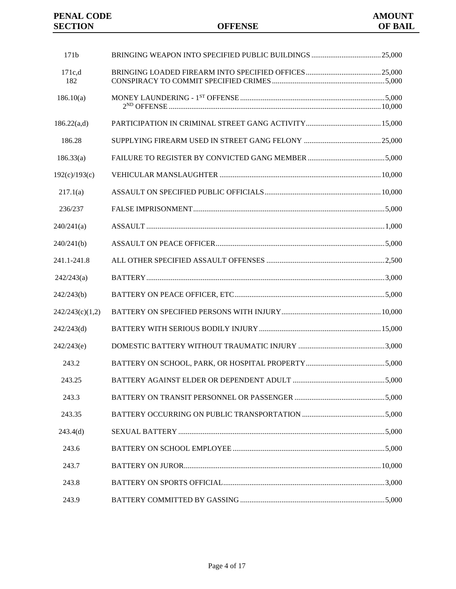| 171b            |  |
|-----------------|--|
| 171c.d<br>182   |  |
| 186.10(a)       |  |
| 186.22(a,d)     |  |
| 186.28          |  |
| 186.33(a)       |  |
| 192(c)/193(c)   |  |
| 217.1(a)        |  |
| 236/237         |  |
| 240/241(a)      |  |
| 240/241(b)      |  |
| 241.1-241.8     |  |
| 242/243(a)      |  |
| 242/243(b)      |  |
| 242/243(c)(1,2) |  |
| 242/243(d)      |  |
| 242/243(e)      |  |
| 243.2           |  |
| 243.25          |  |
| 243.3           |  |
| 243.35          |  |
| 243.4(d)        |  |
| 243.6           |  |
| 243.7           |  |
| 243.8           |  |
| 243.9           |  |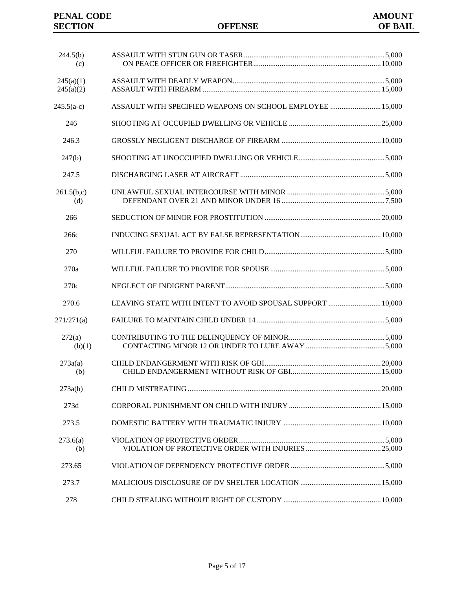#### **PENAL CODE AMOUNT SECTION OFFENSE OF BAIL SECTION**

| 244.5(b)     |                                                            |  |
|--------------|------------------------------------------------------------|--|
| (c)          |                                                            |  |
| 245(a)(1)    |                                                            |  |
| 245(a)(2)    |                                                            |  |
| $245.5(a-c)$ | ASSAULT WITH SPECIFIED WEAPONS ON SCHOOL EMPLOYEE  15,000  |  |
| 246          |                                                            |  |
| 246.3        |                                                            |  |
| 247(b)       |                                                            |  |
| 247.5        |                                                            |  |
| 261.5(b,c)   |                                                            |  |
| (d)          |                                                            |  |
| 266          |                                                            |  |
| 266c         |                                                            |  |
| 270          |                                                            |  |
| 270a         |                                                            |  |
| 270c         |                                                            |  |
| 270.6        | LEAVING STATE WITH INTENT TO AVOID SPOUSAL SUPPORT  10,000 |  |
| 271/271(a)   |                                                            |  |
| 272(a)       |                                                            |  |
| (b)(1)       |                                                            |  |
| 273a(a)      |                                                            |  |
| (b)          |                                                            |  |
| 273a(b)      |                                                            |  |
| 273d         |                                                            |  |
| 273.5        |                                                            |  |
| 273.6(a)     |                                                            |  |
| (b)          |                                                            |  |
| 273.65       |                                                            |  |
| 273.7        |                                                            |  |
| 278          |                                                            |  |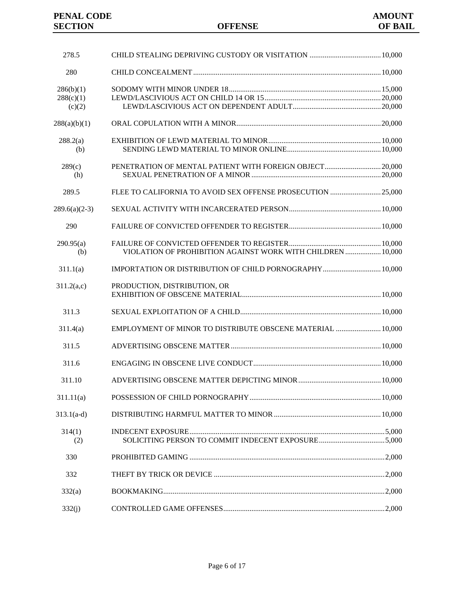| 278.5           |                                                             |  |
|-----------------|-------------------------------------------------------------|--|
| 280             |                                                             |  |
| 286(b)(1)       |                                                             |  |
| 288(c)(1)       |                                                             |  |
| (c)(2)          |                                                             |  |
| 288(a)(b)(1)    |                                                             |  |
| 288.2(a)        |                                                             |  |
| (b)             |                                                             |  |
| 289(c)          |                                                             |  |
| (h)             |                                                             |  |
| 289.5           | FLEE TO CALIFORNIA TO AVOID SEX OFFENSE PROSECUTION 25,000  |  |
| $289.6(a)(2-3)$ |                                                             |  |
| 290             |                                                             |  |
| 290.95(a)       |                                                             |  |
| (b)             | VIOLATION OF PROHIBITION AGAINST WORK WITH CHILDREN  10,000 |  |
| 311.1(a)        | IMPORTATION OR DISTRIBUTION OF CHILD PORNOGRAPHY 10,000     |  |
| 311.2(a,c)      | PRODUCTION, DISTRIBUTION, OR                                |  |
| 311.3           |                                                             |  |
| 311.4(a)        | EMPLOYMENT OF MINOR TO DISTRIBUTE OBSCENE MATERIAL  10,000  |  |
| 311.5           |                                                             |  |
| 311.6           |                                                             |  |
| 311.10          |                                                             |  |
| 311.11(a)       |                                                             |  |
| $313.1(a-d)$    |                                                             |  |
| 314(1)<br>(2)   |                                                             |  |
| 330             |                                                             |  |
| 332             |                                                             |  |
| 332(a)          |                                                             |  |
| 332(j)          |                                                             |  |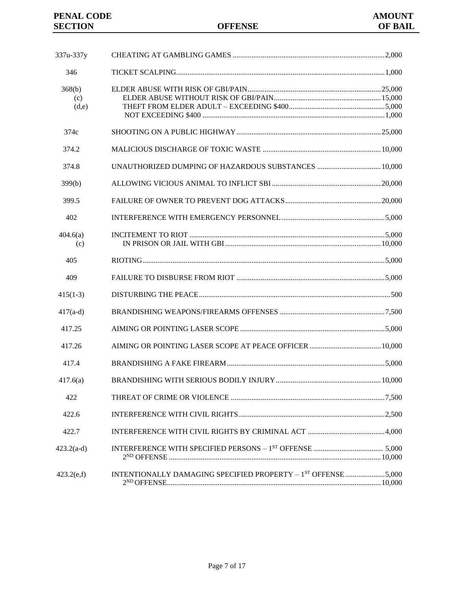| 337u-337y              |                                                               |  |
|------------------------|---------------------------------------------------------------|--|
| 346                    |                                                               |  |
| 368(b)<br>(c)<br>(d,e) |                                                               |  |
| 374c                   |                                                               |  |
| 374.2                  |                                                               |  |
| 374.8                  | UNAUTHORIZED DUMPING OF HAZARDOUS SUBSTANCES  10.000          |  |
| 399(b)                 |                                                               |  |
| 399.5                  |                                                               |  |
| 402                    |                                                               |  |
| 404.6(a)<br>(c)        |                                                               |  |
| 405                    |                                                               |  |
| 409                    |                                                               |  |
| $415(1-3)$             |                                                               |  |
| $417(a-d)$             |                                                               |  |
| 417.25                 |                                                               |  |
| 417.26                 |                                                               |  |
| 417.4                  |                                                               |  |
| 417.6(a)               |                                                               |  |
| 422                    |                                                               |  |
| 422.6                  |                                                               |  |
| 422.7                  |                                                               |  |
| $423.2(a-d)$           |                                                               |  |
| 423.2(e,f)             | INTENTIONALLY DAMAGING SPECIFIED PROPERTY - 1ST OFFENSE 5,000 |  |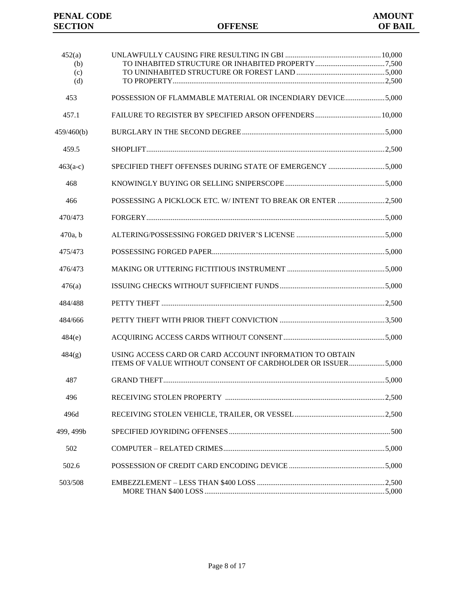| 452(a)<br>(b) |                                                                                                                        |  |
|---------------|------------------------------------------------------------------------------------------------------------------------|--|
| (c)           |                                                                                                                        |  |
| (d)           |                                                                                                                        |  |
| 453           | POSSESSION OF FLAMMABLE MATERIAL OR INCENDIARY DEVICE5,000                                                             |  |
| 457.1         | FAILURE TO REGISTER BY SPECIFIED ARSON OFFENDERS 10,000                                                                |  |
| 459/460(b)    |                                                                                                                        |  |
| 459.5         |                                                                                                                        |  |
| $463(a-c)$    | SPECIFIED THEFT OFFENSES DURING STATE OF EMERGENCY 5,000                                                               |  |
| 468           |                                                                                                                        |  |
| 466           | POSSESSING A PICKLOCK ETC. W/INTENT TO BREAK OR ENTER 2,500                                                            |  |
| 470/473       |                                                                                                                        |  |
| $470a$ , b    |                                                                                                                        |  |
| 475/473       |                                                                                                                        |  |
| 476/473       |                                                                                                                        |  |
| 476(a)        |                                                                                                                        |  |
| 484/488       |                                                                                                                        |  |
| 484/666       |                                                                                                                        |  |
| 484(e)        |                                                                                                                        |  |
| 484(g)        | USING ACCESS CARD OR CARD ACCOUNT INFORMATION TO OBTAIN<br>ITEMS OF VALUE WITHOUT CONSENT OF CARDHOLDER OR ISSUER5,000 |  |
| 487           |                                                                                                                        |  |
| 496           |                                                                                                                        |  |
| 496d          |                                                                                                                        |  |
| 499, 499b     |                                                                                                                        |  |
| 502           |                                                                                                                        |  |
| 502.6         |                                                                                                                        |  |
| 503/508       |                                                                                                                        |  |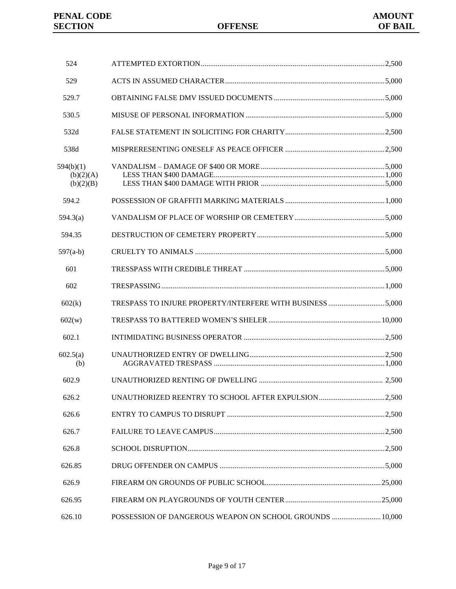| 524                                 |                                                           |  |
|-------------------------------------|-----------------------------------------------------------|--|
| 529                                 |                                                           |  |
| 529.7                               |                                                           |  |
| 530.5                               |                                                           |  |
| 532d                                |                                                           |  |
| 538d                                |                                                           |  |
| 594(b)(1)<br>(b)(2)(A)<br>(b)(2)(B) |                                                           |  |
| 594.2                               |                                                           |  |
| 594.3(a)                            |                                                           |  |
| 594.35                              |                                                           |  |
| $597(a-b)$                          |                                                           |  |
| 601                                 |                                                           |  |
| 602                                 |                                                           |  |
| 602(k)                              | TRESPASS TO INJURE PROPERTY/INTERFERE WITH BUSINESS 5,000 |  |
| 602(w)                              |                                                           |  |
| 602.1                               |                                                           |  |
| 602.5(a)<br>(b)                     |                                                           |  |
| 602.9                               |                                                           |  |
| 626.2                               | UNAUTHORIZED REENTRY TO SCHOOL AFTER EXPULSION2,500       |  |
| 626.6                               |                                                           |  |
| 626.7                               |                                                           |  |
| 626.8                               |                                                           |  |
| 626.85                              |                                                           |  |
| 626.9                               |                                                           |  |
| 626.95                              |                                                           |  |
| 626.10                              | POSSESSION OF DANGEROUS WEAPON ON SCHOOL GROUNDS  10,000  |  |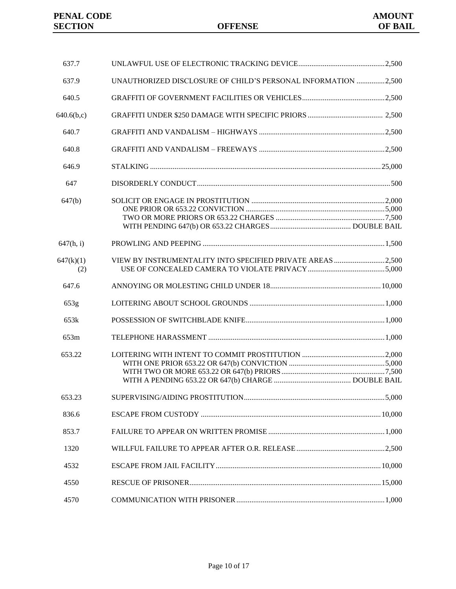| 637.7            |                                                               |  |
|------------------|---------------------------------------------------------------|--|
| 637.9            | UNAUTHORIZED DISCLOSURE OF CHILD'S PERSONAL INFORMATION 2,500 |  |
| 640.5            |                                                               |  |
| 640.6(b,c)       |                                                               |  |
| 640.7            |                                                               |  |
| 640.8            |                                                               |  |
| 646.9            |                                                               |  |
| 647              |                                                               |  |
| 647(b)           |                                                               |  |
| 647(h, i)        |                                                               |  |
| 647(k)(1)<br>(2) | VIEW BY INSTRUMENTALITY INTO SPECIFIED PRIVATE AREAS 2,500    |  |
| 647.6            |                                                               |  |
| 653g             |                                                               |  |
| 653k             |                                                               |  |
| 653m             |                                                               |  |
| 653.22           |                                                               |  |
| 653.23           |                                                               |  |
| 836.6            |                                                               |  |
| 853.7            |                                                               |  |
| 1320             |                                                               |  |
| 4532             |                                                               |  |
| 4550             |                                                               |  |
| 4570             |                                                               |  |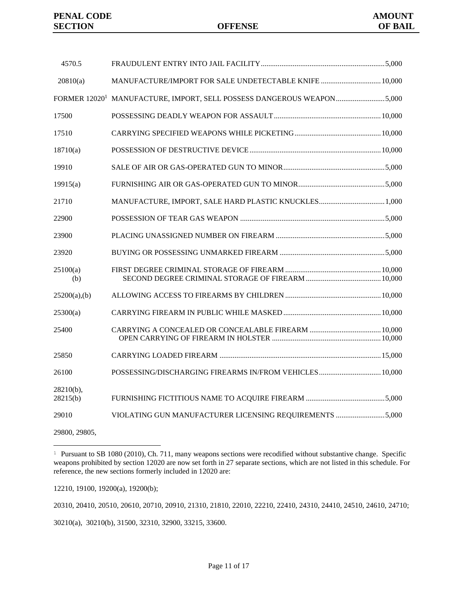| 4570.5                |                                                                                   |  |
|-----------------------|-----------------------------------------------------------------------------------|--|
| 20810(a)              | MANUFACTURE/IMPORT FOR SALE UNDETECTABLE KNIFE  10,000                            |  |
|                       | FORMER 12020 <sup>1</sup> MANUFACTURE, IMPORT, SELL POSSESS DANGEROUS WEAPON5,000 |  |
| 17500                 |                                                                                   |  |
| 17510                 |                                                                                   |  |
| 18710(a)              |                                                                                   |  |
| 19910                 |                                                                                   |  |
| 19915(a)              |                                                                                   |  |
| 21710                 | MANUFACTURE, IMPORT, SALE HARD PLASTIC KNUCKLES 1,000                             |  |
| 22900                 |                                                                                   |  |
| 23900                 |                                                                                   |  |
| 23920                 |                                                                                   |  |
| 25100(a)<br>(b)       |                                                                                   |  |
| 25200(a),(b)          |                                                                                   |  |
| 25300(a)              |                                                                                   |  |
| 25400                 |                                                                                   |  |
| 25850                 |                                                                                   |  |
| 26100                 | POSSESSING/DISCHARGING FIREARMS IN/FROM VEHICLES 10,000                           |  |
| 28210(b),<br>28215(b) |                                                                                   |  |
| 29010                 | VIOLATING GUN MANUFACTURER LICENSING REQUIREMENTS 5,000                           |  |
|                       |                                                                                   |  |

29800, 29805,

ı.

12210, 19100, 19200(a), 19200(b);

20310, 20410, 20510, 20610, 20710, 20910, 21310, 21810, 22010, 22210, 22410, 24310, 24410, 24510, 24610, 24710;

30210(a), 30210(b), 31500, 32310, 32900, 33215, 33600.

<sup>&</sup>lt;sup>1</sup> Pursuant to SB 1080 (2010), Ch. 711, many weapons sections were recodified without substantive change. Specific weapons prohibited by section 12020 are now set forth in 27 separate sections, which are not listed in this schedule. For reference, the new sections formerly included in 12020 are: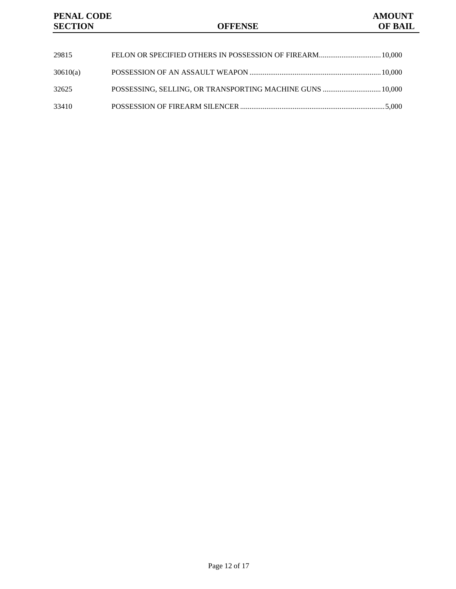| 29815    | FELON OR SPECIFIED OTHERS IN POSSESSION OF FIREARM 10,000 |  |
|----------|-----------------------------------------------------------|--|
| 30610(a) |                                                           |  |
| 32625    | POSSESSING, SELLING, OR TRANSPORTING MACHINE GUNS  10,000 |  |
| 33410    |                                                           |  |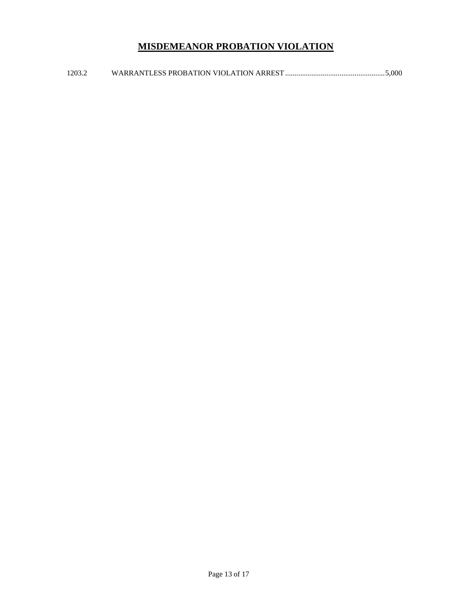# **MISDEMEANOR PROBATION VIOLATION**

1203.2 WARRANTLESS PROBATION VIOLATION ARREST .....................................................5,000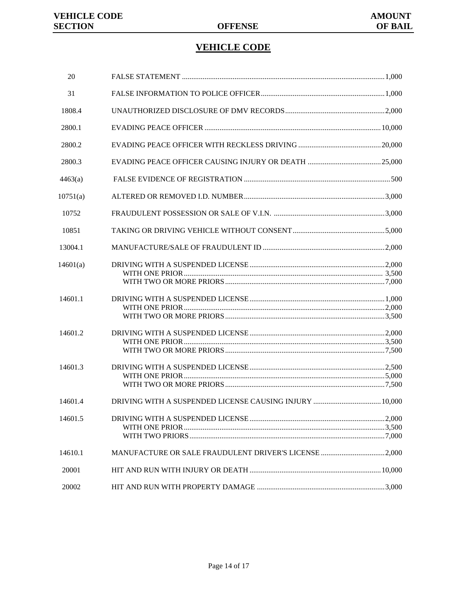# **VEHICLE CODE**

| 20       |                                                       |  |
|----------|-------------------------------------------------------|--|
| 31       |                                                       |  |
| 1808.4   |                                                       |  |
| 2800.1   |                                                       |  |
| 2800.2   |                                                       |  |
| 2800.3   |                                                       |  |
| 4463(a)  |                                                       |  |
| 10751(a) |                                                       |  |
| 10752    |                                                       |  |
| 10851    |                                                       |  |
| 13004.1  |                                                       |  |
| 14601(a) |                                                       |  |
| 14601.1  |                                                       |  |
| 14601.2  |                                                       |  |
| 14601.3  |                                                       |  |
| 14601.4  |                                                       |  |
| 14601.5  |                                                       |  |
| 14610.1  | MANUFACTURE OR SALE FRAUDULENT DRIVER'S LICENSE 2,000 |  |
| 20001    |                                                       |  |
| 20002    |                                                       |  |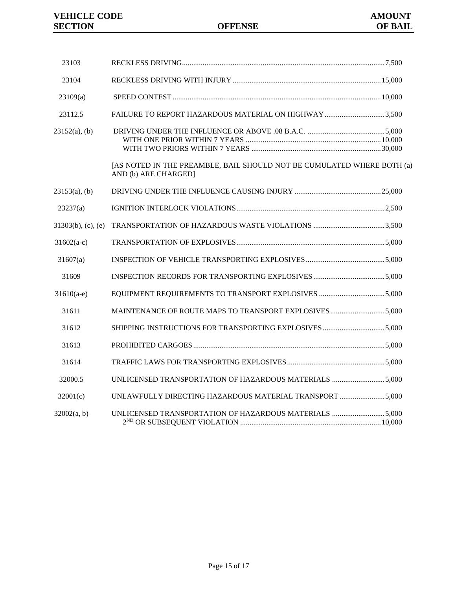| 23103                 |                                                                                                |  |
|-----------------------|------------------------------------------------------------------------------------------------|--|
| 23104                 |                                                                                                |  |
| 23109(a)              |                                                                                                |  |
| 23112.5               | FAILURE TO REPORT HAZARDOUS MATERIAL ON HIGHWAY 3,500                                          |  |
| $23152(a)$ , (b)      |                                                                                                |  |
|                       | [AS NOTED IN THE PREAMBLE, BAIL SHOULD NOT BE CUMULATED WHERE BOTH (a)<br>AND (b) ARE CHARGED] |  |
| $23153(a)$ , (b)      |                                                                                                |  |
| 23237(a)              |                                                                                                |  |
| $31303(b)$ , (c), (e) |                                                                                                |  |
| $31602(a-c)$          |                                                                                                |  |
| 31607(a)              |                                                                                                |  |
| 31609                 |                                                                                                |  |
| $31610(a-e)$          |                                                                                                |  |
| 31611                 | MAINTENANCE OF ROUTE MAPS TO TRANSPORT EXPLOSIVES 5,000                                        |  |
| 31612                 | SHIPPING INSTRUCTIONS FOR TRANSPORTING EXPLOSIVES5,000                                         |  |
| 31613                 |                                                                                                |  |
| 31614                 |                                                                                                |  |
| 32000.5               | UNLICENSED TRANSPORTATION OF HAZARDOUS MATERIALS 5,000                                         |  |
| 32001(c)              | UNLAWFULLY DIRECTING HAZARDOUS MATERIAL TRANSPORT 5,000                                        |  |
| 32002(a, b)           | UNLICENSED TRANSPORTATION OF HAZARDOUS MATERIALS 5,000                                         |  |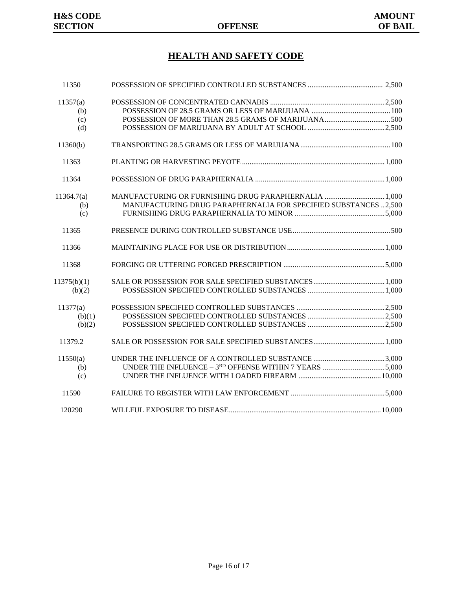# **HEALTH AND SAFETY CODE**

| 11350       |                                                                 |  |
|-------------|-----------------------------------------------------------------|--|
| 11357(a)    |                                                                 |  |
| (b)         |                                                                 |  |
| (c)         |                                                                 |  |
| (d)         |                                                                 |  |
| 11360(b)    |                                                                 |  |
| 11363       |                                                                 |  |
| 11364       |                                                                 |  |
| 11364.7(a)  | MANUFACTURING OR FURNISHING DRUG PARAPHERNALIA  1,000           |  |
| (b)         | MANUFACTURING DRUG PARAPHERNALIA FOR SPECIFIED SUBSTANCES 2,500 |  |
| (c)         |                                                                 |  |
| 11365       |                                                                 |  |
| 11366       |                                                                 |  |
| 11368       |                                                                 |  |
| 11375(b)(1) |                                                                 |  |
| (b)(2)      |                                                                 |  |
| 11377(a)    |                                                                 |  |
| (b)(1)      |                                                                 |  |
| (b)(2)      |                                                                 |  |
| 11379.2     |                                                                 |  |
| 11550(a)    |                                                                 |  |
| (b)         |                                                                 |  |
| (c)         |                                                                 |  |
| 11590       |                                                                 |  |
| 120290      |                                                                 |  |